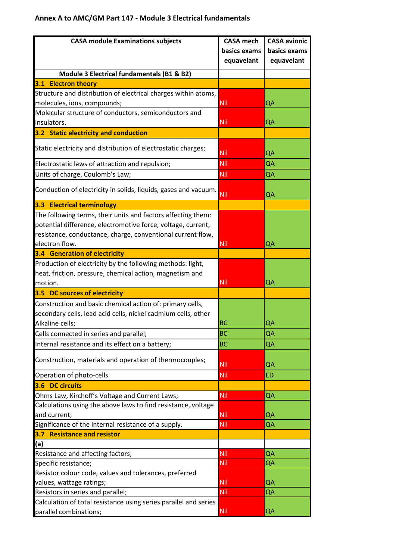## **Annex A to AMC/GM Part 147 - Module 3 Electrical fundamentals**

| <b>CASA module Examinations subjects</b>                                                              | <b>CASA mech</b>         | <b>CASA avionic</b> |
|-------------------------------------------------------------------------------------------------------|--------------------------|---------------------|
|                                                                                                       | basics exams             | basics exams        |
|                                                                                                       | equavelant               | equavelant          |
| Module 3 Electrical fundamentals (B1 & B2)                                                            |                          |                     |
| 3.1 Electron theory                                                                                   |                          |                     |
| Structure and distribution of electrical charges within atoms,                                        |                          |                     |
| molecules, ions, compounds;                                                                           | <b>Nil</b>               | QA                  |
| Molecular structure of conductors, semiconductors and                                                 |                          |                     |
| insulators.                                                                                           | <b>Nil</b>               | QA                  |
| 3.2 Static electricity and conduction                                                                 |                          |                     |
| Static electricity and distribution of electrostatic charges;                                         | <b>Nil</b>               | QA                  |
| Electrostatic laws of attraction and repulsion;                                                       | <b>Nil</b>               | QA                  |
| Units of charge, Coulomb's Law;                                                                       | <b>Nil</b>               | QA                  |
| Conduction of electricity in solids, liquids, gases and vacuum.                                       | <b>Nil</b>               | QA                  |
| <b>3.3 Electrical terminology</b>                                                                     |                          |                     |
| The following terms, their units and factors affecting them:                                          |                          |                     |
| potential difference, electromotive force, voltage, current,                                          |                          |                     |
| resistance, conductance, charge, conventional current flow,                                           |                          |                     |
| electron flow.                                                                                        | <b>Nil</b>               | QA                  |
| <b>3.4 Generation of electricity</b>                                                                  |                          |                     |
| Production of electricity by the following methods: light,                                            |                          |                     |
| heat, friction, pressure, chemical action, magnetism and                                              |                          |                     |
| motion.                                                                                               | <b>Nil</b>               | QA                  |
| 3.5 DC sources of electricity                                                                         |                          |                     |
| Construction and basic chemical action of: primary cells,                                             |                          |                     |
| secondary cells, lead acid cells, nickel cadmium cells, other                                         |                          |                     |
| Alkaline cells;                                                                                       | <b>BC</b>                | QΑ                  |
| Cells connected in series and parallel;                                                               | <b>BC</b>                | QΑ                  |
| Internal resistance and its effect on a battery;                                                      | <b>BC</b>                | QA                  |
| Construction, materials and operation of thermocouples;                                               | <b>Nil</b>               | QA                  |
| Operation of photo-cells.                                                                             | <b>Nil</b>               | <b>ED</b>           |
| 3.6 DC circuits                                                                                       |                          |                     |
| Ohms Law, Kirchoff's Voltage and Current Laws;                                                        | <b>Nil</b>               | QA                  |
| Calculations using the above laws to find resistance, voltage                                         |                          |                     |
| and current;                                                                                          | <b>Nil</b>               | QA                  |
| Significance of the internal resistance of a supply.                                                  | Nil                      | QA                  |
| 3.7 Resistance and resistor                                                                           |                          |                     |
| (a)                                                                                                   |                          |                     |
| Resistance and affecting factors;                                                                     | Nil                      | QA                  |
| Specific resistance;                                                                                  | <b>Nil</b>               | QA                  |
| Resistor colour code, values and tolerances, preferred                                                |                          |                     |
| values, wattage ratings;                                                                              | <b>Nil</b><br><b>Nil</b> | QA<br>QA            |
| Resistors in series and parallel;<br>Calculation of total resistance using series parallel and series |                          |                     |
| parallel combinations;                                                                                | <b>Nil</b>               | QA                  |
|                                                                                                       |                          |                     |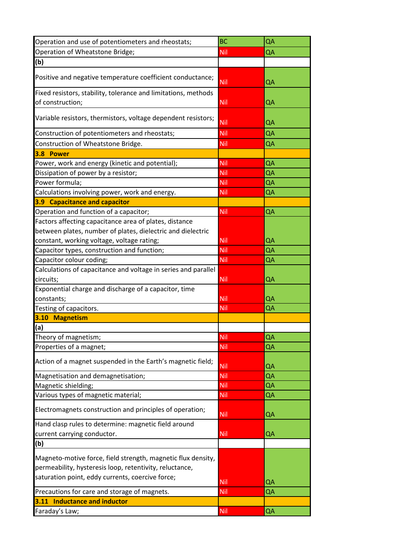| Operation and use of potentiometers and rheostats;             | <b>BC</b>  | QA |
|----------------------------------------------------------------|------------|----|
| Operation of Wheatstone Bridge;                                | Nil        | QA |
| (b)                                                            |            |    |
| Positive and negative temperature coefficient conductance;     |            |    |
|                                                                | <b>Nil</b> | QA |
| Fixed resistors, stability, tolerance and limitations, methods |            |    |
| of construction;                                               | <b>Nil</b> | QA |
| Variable resistors, thermistors, voltage dependent resistors;  |            |    |
|                                                                | Nil        | QA |
| Construction of potentiometers and rheostats;                  | Nil        | QA |
| Construction of Wheatstone Bridge.                             | Nil        | QA |
| 3.8 Power                                                      |            |    |
| Power, work and energy (kinetic and potential);                | <b>Nil</b> | QA |
| Dissipation of power by a resistor;                            | <b>Nil</b> | QA |
| Power formula;                                                 | <b>Nil</b> | QA |
| Calculations involving power, work and energy.                 | Nil        | QA |
| 3.9 Capacitance and capacitor                                  |            |    |
| Operation and function of a capacitor;                         | <b>Nil</b> | QA |
| Factors affecting capacitance area of plates, distance         |            |    |
| between plates, number of plates, dielectric and dielectric    |            |    |
| constant, working voltage, voltage rating;                     | <b>Nil</b> | QA |
| Capacitor types, construction and function;                    | <b>Nil</b> | QA |
| Capacitor colour coding;                                       | <b>Nil</b> | QA |
| Calculations of capacitance and voltage in series and parallel |            |    |
| circuits;                                                      | Nil        | QA |
| Exponential charge and discharge of a capacitor, time          |            |    |
| constants;                                                     | Nil        | QA |
| Testing of capacitors.                                         | Nil        | QA |
| 3.10 Magnetism                                                 |            |    |
| (a)                                                            |            |    |
| Theory of magnetism;                                           | <b>Nil</b> | QA |
| Properties of a magnet;                                        | <b>Nil</b> | QA |
|                                                                |            |    |
| Action of a magnet suspended in the Earth's magnetic field;    | Nil        | QA |
| Magnetisation and demagnetisation;                             | <b>Nil</b> | QA |
| Magnetic shielding;                                            | <b>Nil</b> | QA |
| Various types of magnetic material;                            | <b>Nil</b> | QA |
| Electromagnets construction and principles of operation;       | Nil        | QA |
| Hand clasp rules to determine: magnetic field around           |            |    |
| current carrying conductor.                                    | Nil        | QA |
| (b)                                                            |            |    |
|                                                                |            |    |
| Magneto-motive force, field strength, magnetic flux density,   |            |    |
| permeability, hysteresis loop, retentivity, reluctance,        |            |    |
| saturation point, eddy currents, coercive force;               | Nil        | QA |
| Precautions for care and storage of magnets.                   | Nil        | QA |
| 3.11 Inductance and inductor                                   |            |    |
| Faraday's Law;                                                 | Nil        | QA |
|                                                                |            |    |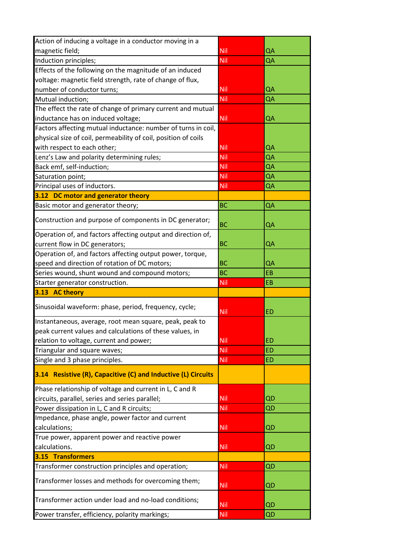| Action of inducing a voltage in a conductor moving in a        |            |           |
|----------------------------------------------------------------|------------|-----------|
| magnetic field;                                                | Nil        | QA        |
| Induction principles;                                          | Nil        | QA        |
| Effects of the following on the magnitude of an induced        |            |           |
| voltage: magnetic field strength, rate of change of flux,      |            |           |
| number of conductor turns;                                     | <b>Nil</b> | QA        |
| Mutual induction;                                              | Nil        | QA        |
| The effect the rate of change of primary current and mutual    |            |           |
| inductance has on induced voltage;                             | <b>Nil</b> | QA        |
| Factors affecting mutual inductance: number of turns in coil,  |            |           |
| physical size of coil, permeability of coil, position of coils |            |           |
| with respect to each other;                                    | Nil        | QA        |
| Lenz's Law and polarity determining rules;                     | Nil        | QA        |
| Back emf, self-induction;                                      | <b>Nil</b> | QA        |
| Saturation point;                                              | Nil        | QA        |
| Principal uses of inductors.                                   | Nil        | QA        |
| 3.12 DC motor and generator theory                             |            |           |
| Basic motor and generator theory;                              | <b>BC</b>  | QA        |
| Construction and purpose of components in DC generator;        | <b>BC</b>  | QA        |
| Operation of, and factors affecting output and direction of,   |            |           |
| current flow in DC generators;                                 | <b>BC</b>  | QA        |
| Operation of, and factors affecting output power, torque,      |            |           |
| speed and direction of rotation of DC motors;                  | BC         | QA        |
| Series wound, shunt wound and compound motors;                 | <b>BC</b>  | EB        |
| Starter generator construction.                                | <b>Nil</b> | EB        |
| 3.13 AC theory                                                 |            |           |
|                                                                |            |           |
| Sinusoidal waveform: phase, period, frequency, cycle;          | <b>Nil</b> | <b>ED</b> |
| Instantaneous, average, root mean square, peak, peak to        |            |           |
| peak current values and calculations of these values, in       |            |           |
| relation to voltage, current and power;                        | <b>Nil</b> | <b>ED</b> |
| Triangular and square waves;                                   | Nil        | <b>ED</b> |
| Single and 3 phase principles.                                 | <b>Nil</b> | <b>ED</b> |
| 3.14 Resistive (R), Capacitive (C) and Inductive (L) Circuits  |            |           |
| Phase relationship of voltage and current in L, C and R        |            |           |
| circuits, parallel, series and series parallel;                | <b>Nil</b> | QD        |
| Power dissipation in L, C and R circuits;                      | <b>Nil</b> | QD        |
| Impedance, phase angle, power factor and current               |            |           |
| calculations;                                                  | <b>Nil</b> | QD        |
| True power, apparent power and reactive power                  |            |           |
| calculations.                                                  | <b>Nil</b> | QD        |
| 3.15 Transformers                                              |            |           |
| Transformer construction principles and operation;             | <b>Nil</b> | QD        |
| Transformer losses and methods for overcoming them;            | <b>Nil</b> | QD        |
| Transformer action under load and no-load conditions;          | <b>Nil</b> | QD        |
| Power transfer, efficiency, polarity markings;                 | <b>Nil</b> | QD        |